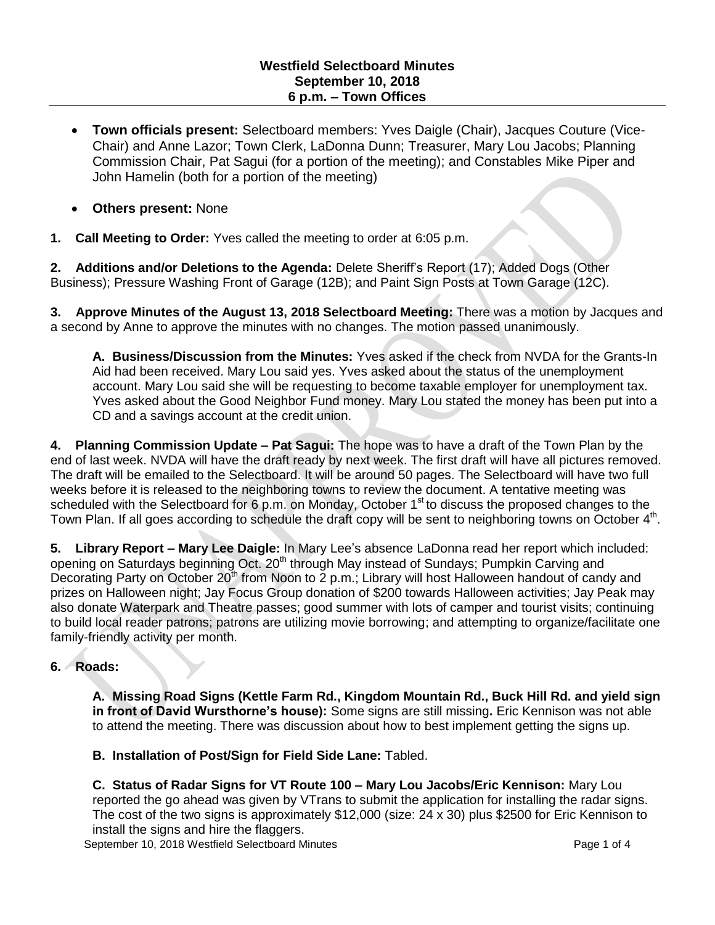- **Town officials present:** Selectboard members: Yves Daigle (Chair), Jacques Couture (Vice-Chair) and Anne Lazor; Town Clerk, LaDonna Dunn; Treasurer, Mary Lou Jacobs; Planning Commission Chair, Pat Sagui (for a portion of the meeting); and Constables Mike Piper and John Hamelin (both for a portion of the meeting)
- **Others present:** None
- **1. Call Meeting to Order:** Yves called the meeting to order at 6:05 p.m.

**2. Additions and/or Deletions to the Agenda:** Delete Sheriff's Report (17); Added Dogs (Other Business); Pressure Washing Front of Garage (12B); and Paint Sign Posts at Town Garage (12C).

**3. Approve Minutes of the August 13, 2018 Selectboard Meeting:** There was a motion by Jacques and a second by Anne to approve the minutes with no changes. The motion passed unanimously.

**A. Business/Discussion from the Minutes:** Yves asked if the check from NVDA for the Grants-In Aid had been received. Mary Lou said yes. Yves asked about the status of the unemployment account. Mary Lou said she will be requesting to become taxable employer for unemployment tax. Yves asked about the Good Neighbor Fund money. Mary Lou stated the money has been put into a CD and a savings account at the credit union.

**4. Planning Commission Update – Pat Sagui:** The hope was to have a draft of the Town Plan by the end of last week. NVDA will have the draft ready by next week. The first draft will have all pictures removed. The draft will be emailed to the Selectboard. It will be around 50 pages. The Selectboard will have two full weeks before it is released to the neighboring towns to review the document. A tentative meeting was scheduled with the Selectboard for 6 p.m. on Monday, October  $1<sup>st</sup>$  to discuss the proposed changes to the Town Plan. If all goes according to schedule the draft copy will be sent to neighboring towns on October 4<sup>th</sup>.

**5. Library Report – Mary Lee Daigle:** In Mary Lee's absence LaDonna read her report which included: opening on Saturdays beginning Oct. 20<sup>th</sup> through May instead of Sundays; Pumpkin Carving and Decorating Party on October 20<sup>th</sup> from Noon to 2 p.m.; Library will host Halloween handout of candy and prizes on Halloween night; Jay Focus Group donation of \$200 towards Halloween activities; Jay Peak may also donate Waterpark and Theatre passes; good summer with lots of camper and tourist visits; continuing to build local reader patrons; patrons are utilizing movie borrowing; and attempting to organize/facilitate one family-friendly activity per month.

# **6. Roads:**

**A. Missing Road Signs (Kettle Farm Rd., Kingdom Mountain Rd., Buck Hill Rd. and yield sign in front of David Wursthorne's house):** Some signs are still missing**.** Eric Kennison was not able to attend the meeting. There was discussion about how to best implement getting the signs up.

**B. Installation of Post/Sign for Field Side Lane:** Tabled.

**C. Status of Radar Signs for VT Route 100 – Mary Lou Jacobs/Eric Kennison:** Mary Lou reported the go ahead was given by VTrans to submit the application for installing the radar signs. The cost of the two signs is approximately \$12,000 (size: 24 x 30) plus \$2500 for Eric Kennison to install the signs and hire the flaggers.

September 10, 2018 Westfield Selectboard Minutes **Page 1 of 4** and 2018 Page 1 of 4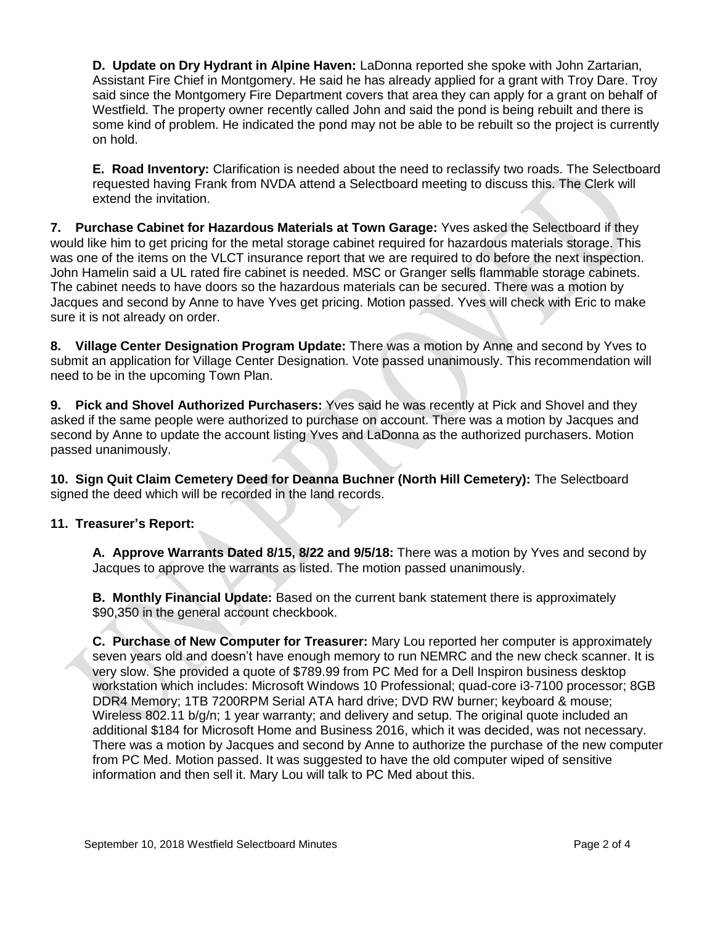**D. Update on Dry Hydrant in Alpine Haven:** LaDonna reported she spoke with John Zartarian, Assistant Fire Chief in Montgomery. He said he has already applied for a grant with Troy Dare. Troy said since the Montgomery Fire Department covers that area they can apply for a grant on behalf of Westfield. The property owner recently called John and said the pond is being rebuilt and there is some kind of problem. He indicated the pond may not be able to be rebuilt so the project is currently on hold.

**E. Road Inventory:** Clarification is needed about the need to reclassify two roads. The Selectboard requested having Frank from NVDA attend a Selectboard meeting to discuss this. The Clerk will extend the invitation.

**7. Purchase Cabinet for Hazardous Materials at Town Garage:** Yves asked the Selectboard if they would like him to get pricing for the metal storage cabinet required for hazardous materials storage. This was one of the items on the VLCT insurance report that we are required to do before the next inspection. John Hamelin said a UL rated fire cabinet is needed. MSC or Granger sells flammable storage cabinets. The cabinet needs to have doors so the hazardous materials can be secured. There was a motion by Jacques and second by Anne to have Yves get pricing. Motion passed. Yves will check with Eric to make sure it is not already on order.

**8. Village Center Designation Program Update:** There was a motion by Anne and second by Yves to submit an application for Village Center Designation. Vote passed unanimously. This recommendation will need to be in the upcoming Town Plan.

**9. Pick and Shovel Authorized Purchasers:** Yves said he was recently at Pick and Shovel and they asked if the same people were authorized to purchase on account. There was a motion by Jacques and second by Anne to update the account listing Yves and LaDonna as the authorized purchasers. Motion passed unanimously.

**10. Sign Quit Claim Cemetery Deed for Deanna Buchner (North Hill Cemetery):** The Selectboard signed the deed which will be recorded in the land records.

# **11. Treasurer's Report:**

**A. Approve Warrants Dated 8/15, 8/22 and 9/5/18:** There was a motion by Yves and second by Jacques to approve the warrants as listed. The motion passed unanimously.

**B. Monthly Financial Update:** Based on the current bank statement there is approximately \$90,350 in the general account checkbook.

**C. Purchase of New Computer for Treasurer:** Mary Lou reported her computer is approximately seven years old and doesn't have enough memory to run NEMRC and the new check scanner. It is very slow. She provided a quote of \$789.99 from PC Med for a Dell Inspiron business desktop workstation which includes: Microsoft Windows 10 Professional; quad-core i3-7100 processor; 8GB DDR4 Memory; 1TB 7200RPM Serial ATA hard drive; DVD RW burner; keyboard & mouse; Wireless 802.11 b/g/n; 1 year warranty; and delivery and setup. The original quote included an additional \$184 for Microsoft Home and Business 2016, which it was decided, was not necessary. There was a motion by Jacques and second by Anne to authorize the purchase of the new computer from PC Med. Motion passed. It was suggested to have the old computer wiped of sensitive information and then sell it. Mary Lou will talk to PC Med about this.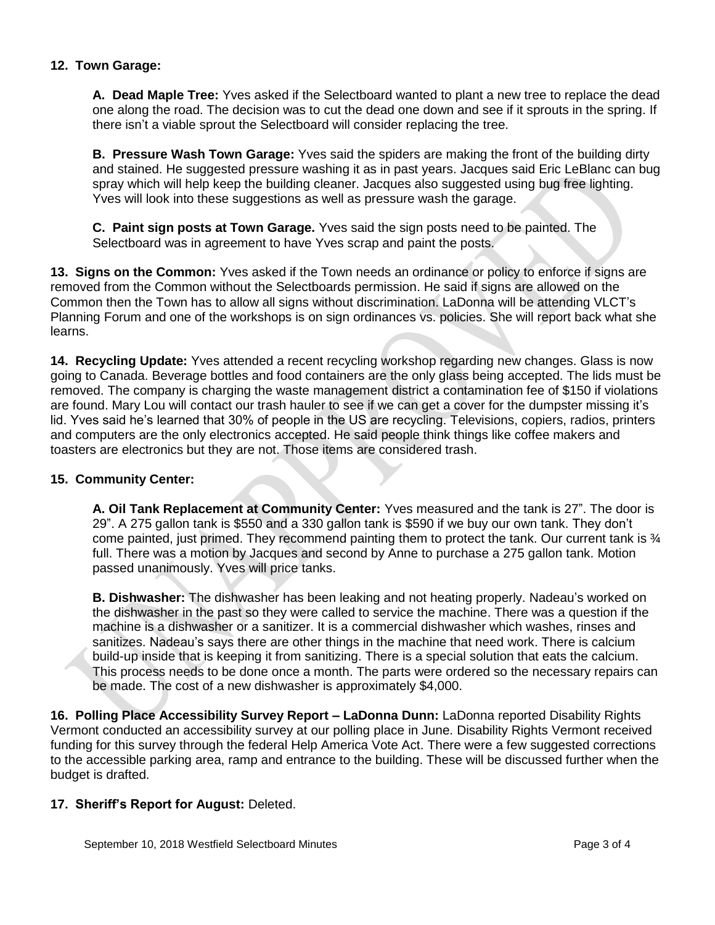## **12. Town Garage:**

**A. Dead Maple Tree:** Yves asked if the Selectboard wanted to plant a new tree to replace the dead one along the road. The decision was to cut the dead one down and see if it sprouts in the spring. If there isn't a viable sprout the Selectboard will consider replacing the tree.

**B. Pressure Wash Town Garage:** Yves said the spiders are making the front of the building dirty and stained. He suggested pressure washing it as in past years. Jacques said Eric LeBlanc can bug spray which will help keep the building cleaner. Jacques also suggested using bug free lighting. Yves will look into these suggestions as well as pressure wash the garage.

**C. Paint sign posts at Town Garage.** Yves said the sign posts need to be painted. The Selectboard was in agreement to have Yves scrap and paint the posts.

**13. Signs on the Common:** Yves asked if the Town needs an ordinance or policy to enforce if signs are removed from the Common without the Selectboards permission. He said if signs are allowed on the Common then the Town has to allow all signs without discrimination. LaDonna will be attending VLCT's Planning Forum and one of the workshops is on sign ordinances vs. policies. She will report back what she learns.

**14. Recycling Update:** Yves attended a recent recycling workshop regarding new changes. Glass is now going to Canada. Beverage bottles and food containers are the only glass being accepted. The lids must be removed. The company is charging the waste management district a contamination fee of \$150 if violations are found. Mary Lou will contact our trash hauler to see if we can get a cover for the dumpster missing it's lid. Yves said he's learned that 30% of people in the US are recycling. Televisions, copiers, radios, printers and computers are the only electronics accepted. He said people think things like coffee makers and toasters are electronics but they are not. Those items are considered trash.

### **15. Community Center:**

**A. Oil Tank Replacement at Community Center:** Yves measured and the tank is 27". The door is 29". A 275 gallon tank is \$550 and a 330 gallon tank is \$590 if we buy our own tank. They don't come painted, just primed. They recommend painting them to protect the tank. Our current tank is  $\frac{3}{4}$ full. There was a motion by Jacques and second by Anne to purchase a 275 gallon tank. Motion passed unanimously. Yves will price tanks.

**B. Dishwasher:** The dishwasher has been leaking and not heating properly. Nadeau's worked on the dishwasher in the past so they were called to service the machine. There was a question if the machine is a dishwasher or a sanitizer. It is a commercial dishwasher which washes, rinses and sanitizes. Nadeau's says there are other things in the machine that need work. There is calcium build-up inside that is keeping it from sanitizing. There is a special solution that eats the calcium. This process needs to be done once a month. The parts were ordered so the necessary repairs can be made. The cost of a new dishwasher is approximately \$4,000.

**16. Polling Place Accessibility Survey Report – LaDonna Dunn:** LaDonna reported Disability Rights Vermont conducted an accessibility survey at our polling place in June. Disability Rights Vermont received funding for this survey through the federal Help America Vote Act. There were a few suggested corrections to the accessible parking area, ramp and entrance to the building. These will be discussed further when the budget is drafted.

# **17. Sheriff's Report for August:** Deleted.